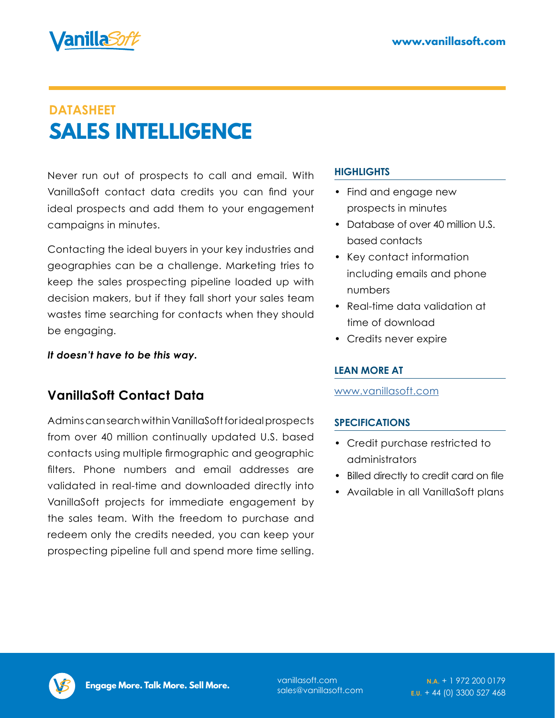

# **DATASHEET SALES INTELLIGENCE**

Never run out of prospects to call and email. With VanillaSoft contact data credits you can find your ideal prospects and add them to your engagement campaigns in minutes.

Contacting the ideal buyers in your key industries and geographies can be a challenge. Marketing tries to keep the sales prospecting pipeline loaded up with decision makers, but if they fall short your sales team wastes time searching for contacts when they should be engaging.

*It doesn't have to be this way.* 

## **VanillaSoft Contact Data**

Admins can search within VanillaSoft for ideal prospects from over 40 million continually updated U.S. based contacts using multiple firmographic and geographic filters. Phone numbers and email addresses are validated in real-time and downloaded directly into VanillaSoft projects for immediate engagement by the sales team. With the freedom to purchase and redeem only the credits needed, you can keep your prospecting pipeline full and spend more time selling.

#### **HIGHLIGHTS**

- Find and engage new prospects in minutes
- Database of over 40 million U.S. based contacts
- Key contact information including emails and phone numbers
- Real-time data validation at time of download
- Credits never expire

#### **LEAN MORE AT**

[www.vanillasoft.com](https://www.vanillasoft.com)

#### **SPECIFICATIONS**

- Credit purchase restricted to administrators
- Billed directly to credit card on file
- Available in all VanillaSoft plans



sales@vanillasoft.com

**N.A.** [+ 1 972 200 0179](tel:+1 972 200 0179) **E.U.** [+ 44 \(0\) 3300 527 468](tel:+44 (0) 3300 527 468)